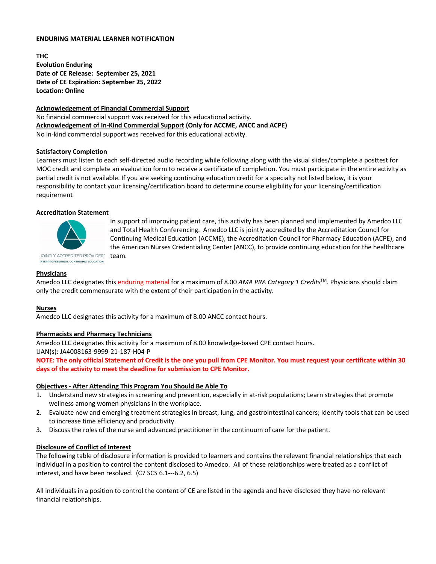### **ENDURING MATERIAL LEARNER NOTIFICATION**

**THC Evolution Enduring Date of CE Release: September 25, 2021 Date of CE Expiration: September 25, 2022 Location: Online**

### **Acknowledgement of Financial Commercial Support**

No financial commercial support was received for this educational activity. **Acknowledgement of In-Kind Commercial Support (Only for ACCME, ANCC and ACPE)** No in-kind commercial support was received for this educational activity.

# **Satisfactory Completion**

Learners must listen to each self-directed audio recording while following along with the visual slides/complete a posttest for MOC credit and complete an evaluation form to receive a certificate of completion. You must participate in the entire activity as partial credit is not available. If you are seeking continuing education credit for a specialty not listed below, it is your responsibility to contact your licensing/certification board to determine course eligibility for your licensing/certification requirement

### **Accreditation Statement**



In support of improving patient care, this activity has been planned and implemented by Amedco LLC and Total Health Conferencing. Amedco LLC is jointly accredited by the Accreditation Council for Continuing Medical Education (ACCME), the Accreditation Council for Pharmacy Education (ACPE), and the American Nurses Credentialing Center (ANCC), to provide continuing education for the healthcare team.

**Physicians**

Amedco LLC designates this enduring material for a maximum of 8.00 *AMA PRA Category 1 Credits*TM. Physicians should claim only the credit commensurate with the extent of their participation in the activity.

#### **Nurses**

Amedco LLC designates this activity for a maximum of 8.00 ANCC contact hours.

# **Pharmacists and Pharmacy Technicians**

Amedco LLC designates this activity for a maximum of 8.00 knowledge-based CPE contact hours.

UAN(s): JA4008163-9999-21-187-H04-P

**NOTE: The only official Statement of Credit is the one you pull from CPE Monitor. You must request your certificate within 30 days of the activity to meet the deadline for submission to CPE Monitor.**

#### **Objectives - After Attending This Program You Should Be Able To**

- 1. Understand new strategies in screening and prevention, especially in at-risk populations; Learn strategies that promote wellness among women physicians in the workplace.
- 2. Evaluate new and emerging treatment strategies in breast, lung, and gastrointestinal cancers; Identify tools that can be used to increase time efficiency and productivity.
- 3. Discuss the roles of the nurse and advanced practitioner in the continuum of care for the patient.

#### **Disclosure of Conflict of Interest**

The following table of disclosure information is provided to learners and contains the relevant financial relationships that each individual in a position to control the content disclosed to Amedco. All of these relationships were treated as a conflict of interest, and have been resolved. (C7 SCS 6.1---6.2, 6.5)

All individuals in a position to control the content of CE are listed in the agenda and have disclosed they have no relevant financial relationships.